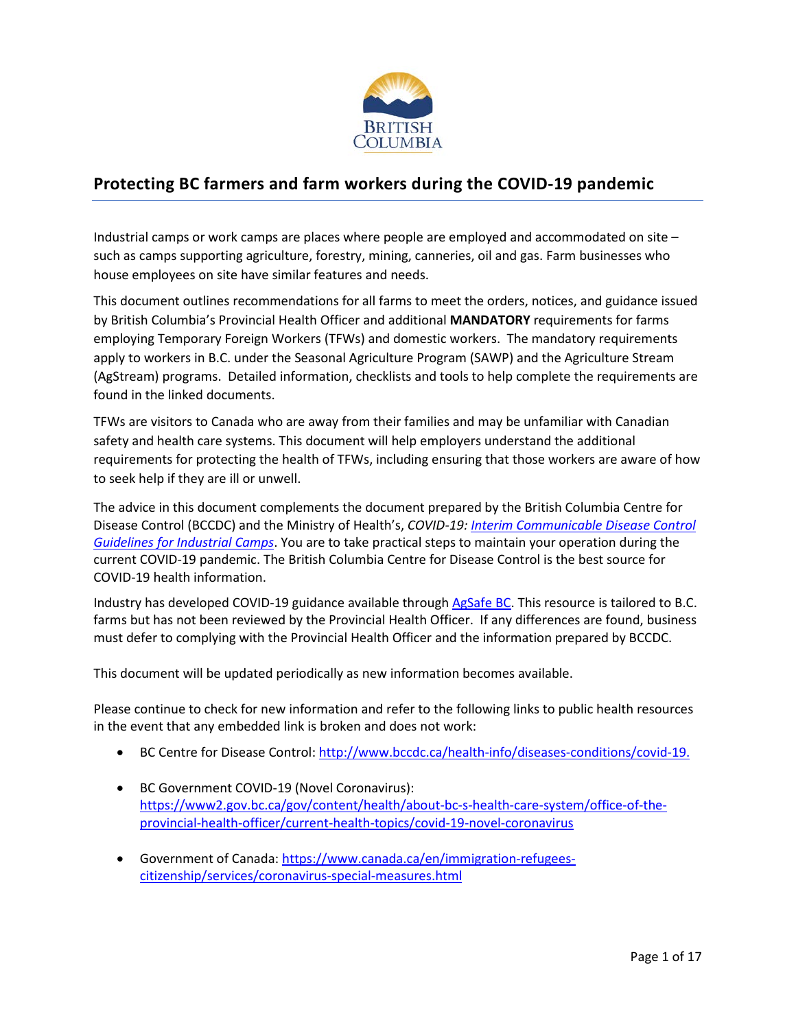

# **Protecting BC farmers and farm workers during the COVID-19 pandemic**

Industrial camps or work camps are places where people are employed and accommodated on site – such as camps supporting agriculture, forestry, mining, canneries, oil and gas. Farm businesses who house employees on site have similar features and needs.

This document outlines recommendations for all farms to meet the orders, notices, and guidance issued by British Columbia's Provincial Health Officer and additional **MANDATORY** requirements for farms employing Temporary Foreign Workers (TFWs) and domestic workers. The mandatory requirements apply to workers in B.C. under the Seasonal Agriculture Program (SAWP) and the Agriculture Stream (AgStream) programs. Detailed information, checklists and tools to help complete the requirements are found in the linked documents.

TFWs are visitors to Canada who are away from their families and may be unfamiliar with Canadian safety and health care systems. This document will help employers understand the additional requirements for protecting the health of TFWs, including ensuring that those workers are aware of how to seek help if they are ill or unwell.

The advice in this document complements the document prepared by the British Columbia Centre for Disease Control (BCCDC) and the Ministry of Health's, *COVID-19: [Interim Communicable Disease Control](https://www2.gov.bc.ca/assets/gov/health/about-bc-s-health-care-system/office-of-the-provincial-health-officer/covid-19/covid-19-pho-guidance-industrial-camp-guidelines.pdf)  [Guidelines for Industrial Camps](https://www2.gov.bc.ca/assets/gov/health/about-bc-s-health-care-system/office-of-the-provincial-health-officer/covid-19/covid-19-pho-guidance-industrial-camp-guidelines.pdf)*. You are to take practical steps to maintain your operation during the current COVID-19 pandemic. The British Columbia Centre for Disease Control is the best source for COVID-19 health information.

Industry has developed COVID-19 guidance available through [AgSafe BC.](https://agsafebc.ca/) This resource is tailored to B.C. farms but has not been reviewed by the Provincial Health Officer. If any differences are found, business must defer to complying with the Provincial Health Officer and the information prepared by BCCDC.

This document will be updated periodically as new information becomes available.

Please continue to check for new information and refer to the following links to public health resources in the event that any embedded link is broken and does not work:

- BC Centre for Disease Control: [http://www.bccdc.ca/health-info/diseases-conditions/covid-19.](http://www.bccdc.ca/health-info/diseases-conditions/covid-19)
- BC Government COVID-19 (Novel Coronavirus): [https://www2.gov.bc.ca/gov/content/health/about-bc-s-health-care-system/office-of-the](https://www2.gov.bc.ca/gov/content/health/about-bc-s-health-care-system/office-of-the-provincial-health-officer/current-health-topics/covid-19-novel-coronavirus)[provincial-health-officer/current-health-topics/covid-19-novel-coronavirus](https://www2.gov.bc.ca/gov/content/health/about-bc-s-health-care-system/office-of-the-provincial-health-officer/current-health-topics/covid-19-novel-coronavirus)
- Government of Canada: [https://www.canada.ca/en/immigration-refugees](https://www.canada.ca/en/immigration-refugees-citizenship/services/coronavirus-special-measures.html)[citizenship/services/coronavirus-special-measures.html](https://www.canada.ca/en/immigration-refugees-citizenship/services/coronavirus-special-measures.html)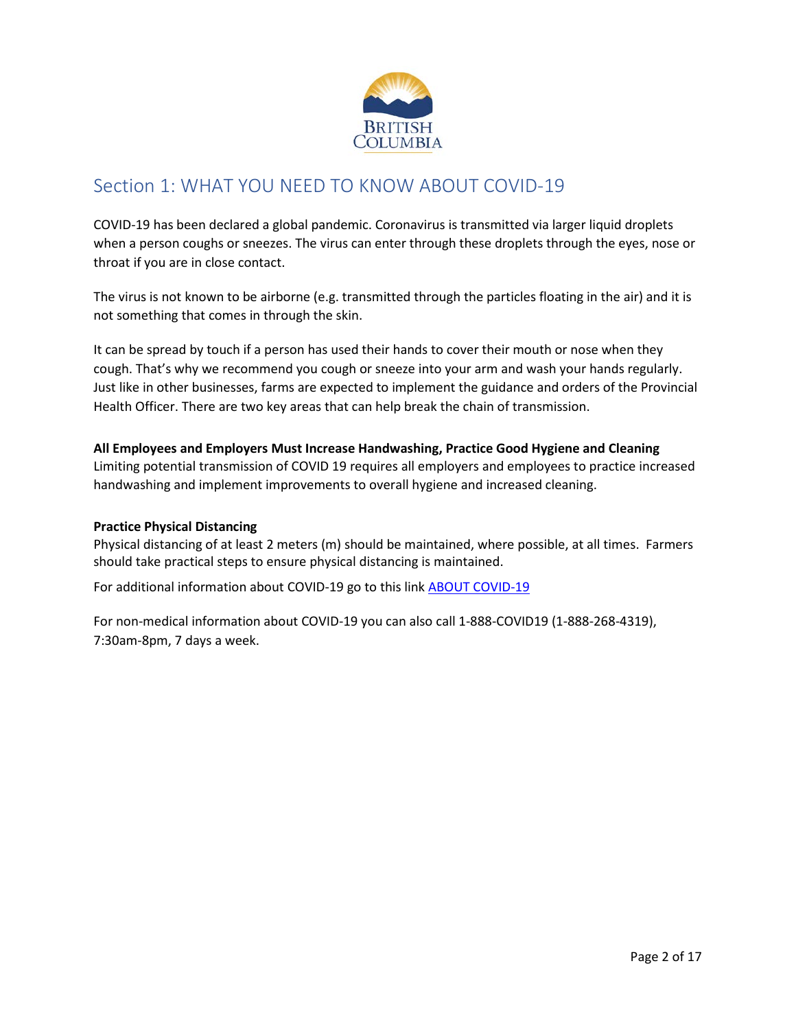

# Section 1: WHAT YOU NEED TO KNOW ABOUT COVID-19

COVID-19 has been declared a global pandemic. Coronavirus is transmitted via larger liquid droplets when a person coughs or sneezes. The virus can enter through these droplets through the eyes, nose or throat if you are in close contact.

The virus is not known to be airborne (e.g. transmitted through the particles floating in the air) and it is not something that comes in through the skin.

It can be spread by touch if a person has used their hands to cover their mouth or nose when they cough. That's why we recommend you cough or sneeze into your arm and wash your hands regularly. Just like in other businesses, farms are expected to implement the guidance and orders of the Provincial Health Officer. There are two key areas that can help break the chain of transmission.

# **All Employees and Employers Must Increase Handwashing, Practice Good Hygiene and Cleaning**

Limiting potential transmission of COVID 19 requires all employers and employees to practice increased handwashing and implement improvements to overall hygiene and increased cleaning.

#### **Practice Physical Distancing**

Physical distancing of at least 2 meters (m) should be maintained, where possible, at all times. Farmers should take practical steps to ensure physical distancing is maintained.

For additional information about COVID-19 go to this link [ABOUT COVID-19](http://www.bccdc.ca/health-info/diseases-conditions/covid-19/about-covid-19)

For non-medical information about COVID-19 you can also call 1-888-COVID19 (1-888-268-4319), 7:30am-8pm, 7 days a week.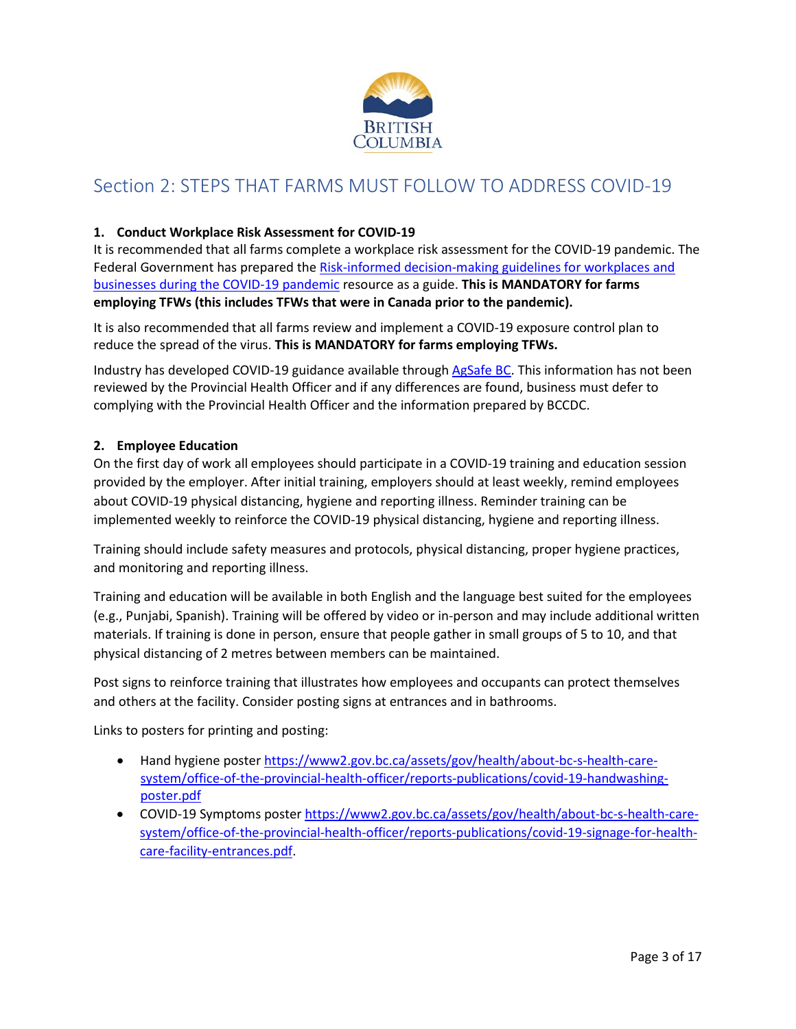

# Section 2: STEPS THAT FARMS MUST FOLLOW TO ADDRESS COVID-19

## **1. Conduct Workplace Risk Assessment for COVID-19**

It is recommended that all farms complete a workplace risk assessment for the COVID-19 pandemic. The Federal Government has prepared the [Risk-informed decision-making guidelines for workplaces and](https://www.canada.ca/en/public-health/services/diseases/2019-novel-coronavirus-infection/guidance-documents/risk-informed-decision-making-workplaces-businesses-covid-19-pandemic.html)  [businesses during the COVID-19 pandemic](https://www.canada.ca/en/public-health/services/diseases/2019-novel-coronavirus-infection/guidance-documents/risk-informed-decision-making-workplaces-businesses-covid-19-pandemic.html) resource as a guide. **This is MANDATORY for farms employing TFWs (this includes TFWs that were in Canada prior to the pandemic).**

It is also recommended that all farms review and implement a COVID-19 exposure control plan to reduce the spread of the virus. **This is MANDATORY for farms employing TFWs.**

Industry has developed COVID-19 guidance available through [AgSafe BC.](https://agsafebc.ca/) This information has not been reviewed by the Provincial Health Officer and if any differences are found, business must defer to complying with the Provincial Health Officer and the information prepared by BCCDC.

#### **2. Employee Education**

On the first day of work all employees should participate in a COVID-19 training and education session provided by the employer. After initial training, employers should at least weekly, remind employees about COVID-19 physical distancing, hygiene and reporting illness. Reminder training can be implemented weekly to reinforce the COVID-19 physical distancing, hygiene and reporting illness.

Training should include safety measures and protocols, physical distancing, proper hygiene practices, and monitoring and reporting illness.

Training and education will be available in both English and the language best suited for the employees (e.g., Punjabi, Spanish). Training will be offered by video or in-person and may include additional written materials. If training is done in person, ensure that people gather in small groups of 5 to 10, and that physical distancing of 2 metres between members can be maintained.

Post signs to reinforce training that illustrates how employees and occupants can protect themselves and others at the facility. Consider posting signs at entrances and in bathrooms.

Links to posters for printing and posting:

- Hand hygiene poster [https://www2.gov.bc.ca/assets/gov/health/about-bc-s-health-care](https://www2.gov.bc.ca/assets/gov/health/about-bc-s-health-care-system/office-of-the-provincial-health-officer/reports-publications/covid-19-handwashing-poster.pdf)[system/office-of-the-provincial-health-officer/reports-publications/covid-19-handwashing](https://www2.gov.bc.ca/assets/gov/health/about-bc-s-health-care-system/office-of-the-provincial-health-officer/reports-publications/covid-19-handwashing-poster.pdf)[poster.pdf](https://www2.gov.bc.ca/assets/gov/health/about-bc-s-health-care-system/office-of-the-provincial-health-officer/reports-publications/covid-19-handwashing-poster.pdf)
- COVID-19 Symptoms poste[r https://www2.gov.bc.ca/assets/gov/health/about-bc-s-health-care](https://www2.gov.bc.ca/assets/gov/health/about-bc-s-health-care-system/office-of-the-provincial-health-officer/reports-publications/covid-19-signage-for-health-care-facility-entrances.pdf)[system/office-of-the-provincial-health-officer/reports-publications/covid-19-signage-for-health](https://www2.gov.bc.ca/assets/gov/health/about-bc-s-health-care-system/office-of-the-provincial-health-officer/reports-publications/covid-19-signage-for-health-care-facility-entrances.pdf)[care-facility-entrances.pdf.](https://www2.gov.bc.ca/assets/gov/health/about-bc-s-health-care-system/office-of-the-provincial-health-officer/reports-publications/covid-19-signage-for-health-care-facility-entrances.pdf)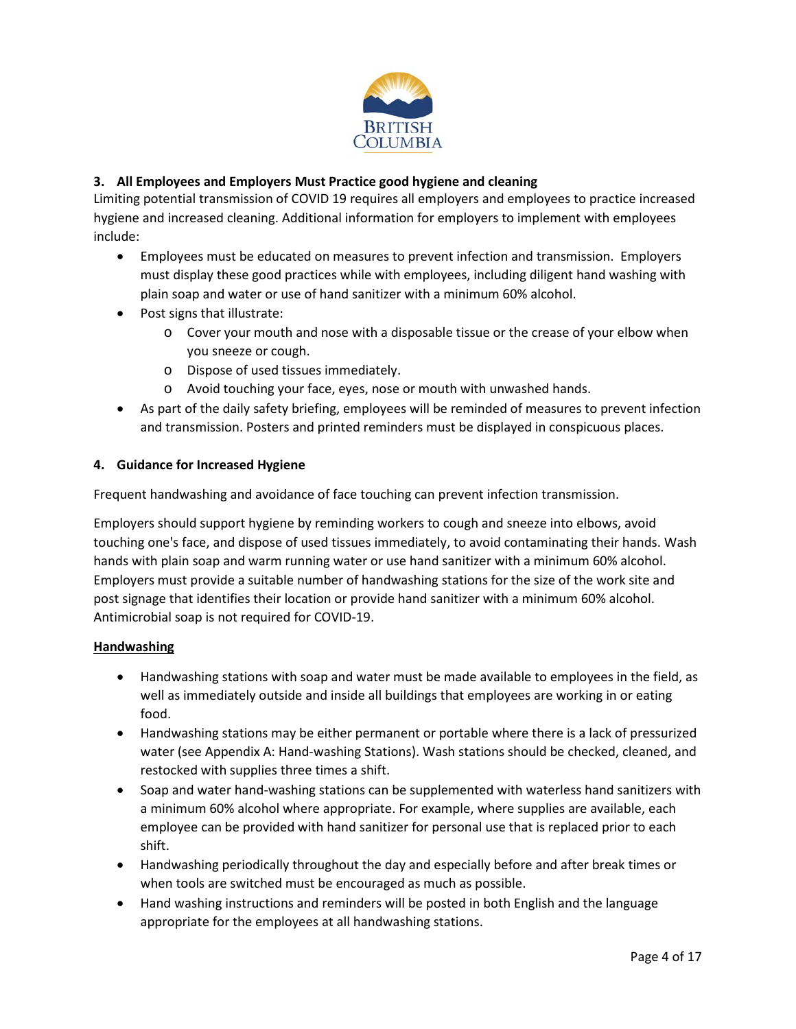

# **3. All Employees and Employers Must Practice good hygiene and cleaning**

Limiting potential transmission of COVID 19 requires all employers and employees to practice increased hygiene and increased cleaning. Additional information for employers to implement with employees include:

- Employees must be educated on measures to prevent infection and transmission. Employers must display these good practices while with employees, including diligent hand washing with plain soap and water or use of hand sanitizer with a minimum 60% alcohol.
- Post signs that illustrate:
	- o Cover your mouth and nose with a disposable tissue or the crease of your elbow when you sneeze or cough.
	- o Dispose of used tissues immediately.
	- o Avoid touching your face, eyes, nose or mouth with unwashed hands.
- As part of the daily safety briefing, employees will be reminded of measures to prevent infection and transmission. Posters and printed reminders must be displayed in conspicuous places.

#### **4. Guidance for Increased Hygiene**

Frequent handwashing and avoidance of face touching can prevent infection transmission.

Employers should support hygiene by reminding workers to cough and sneeze into elbows, avoid touching one's face, and dispose of used tissues immediately, to avoid contaminating their hands. Wash hands with plain soap and warm running water or use hand sanitizer with a minimum 60% alcohol. Employers must provide a suitable number of handwashing stations for the size of the work site and post signage that identifies their location or provide hand sanitizer with a minimum 60% alcohol. Antimicrobial soap is not required for COVID-19.

#### **Handwashing**

- Handwashing stations with soap and water must be made available to employees in the field, as well as immediately outside and inside all buildings that employees are working in or eating food.
- Handwashing stations may be either permanent or portable where there is a lack of pressurized water (see Appendix A: Hand-washing Stations). Wash stations should be checked, cleaned, and restocked with supplies three times a shift.
- Soap and water hand-washing stations can be supplemented with waterless hand sanitizers with a minimum 60% alcohol where appropriate. For example, where supplies are available, each employee can be provided with hand sanitizer for personal use that is replaced prior to each shift.
- Handwashing periodically throughout the day and especially before and after break times or when tools are switched must be encouraged as much as possible.
- Hand washing instructions and reminders will be posted in both English and the language appropriate for the employees at all handwashing stations.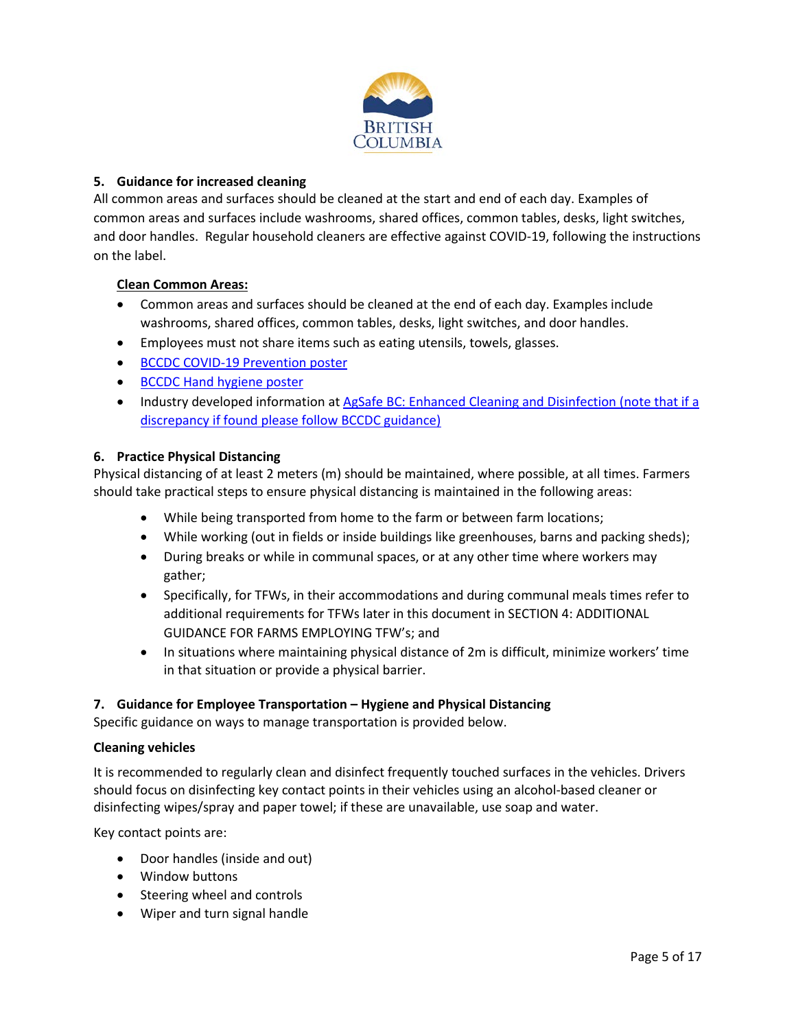

## **5. Guidance for increased cleaning**

All common areas and surfaces should be cleaned at the start and end of each day. Examples of common areas and surfaces include washrooms, shared offices, common tables, desks, light switches, and door handles. Regular household cleaners are effective against COVID-19, following the instructions on the label.

#### **Clean Common Areas:**

- Common areas and surfaces should be cleaned at the end of each day. Examples include washrooms, shared offices, common tables, desks, light switches, and door handles.
- Employees must not share items such as eating utensils, towels, glasses.
- [BCCDC COVID-19 Prevention poster](http://www.bccdc.ca/Health-Info-Site/Documents/COVID19-Prevention.pdf)
- [BCCDC Hand hygiene poster](https://www2.gov.bc.ca/assets/gov/health/about-bc-s-health-care-system/office-of-the-provincial-health-officer/reports-publications/covid-19-handwashing-poster.pdf)
- Industry developed information at [AgSafe BC: Enhanced Cleaning and Disinfection](https://agsafebc.ca/wp-content/uploads/2020/03/2020-03-26-COVID-19-Enhanced-Cleaning-AgSafeBC.pdf) (note that if a discrepancy if found please follow BCCDC guidance)

#### **6. Practice Physical Distancing**

Physical distancing of at least 2 meters (m) should be maintained, where possible, at all times. Farmers should take practical steps to ensure physical distancing is maintained in the following areas:

- While being transported from home to the farm or between farm locations;
- While working (out in fields or inside buildings like greenhouses, barns and packing sheds);
- During breaks or while in communal spaces, or at any other time where workers may gather;
- Specifically, for TFWs, in their accommodations and during communal meals times refer to additional requirements for TFWs later in this document in SECTION 4: ADDITIONAL GUIDANCE FOR FARMS EMPLOYING TFW's; and
- In situations where maintaining physical distance of 2m is difficult, minimize workers' time in that situation or provide a physical barrier.

#### **7. Guidance for Employee Transportation – Hygiene and Physical Distancing**

Specific guidance on ways to manage transportation is provided below.

#### **Cleaning vehicles**

It is recommended to regularly clean and disinfect frequently touched surfaces in the vehicles. Drivers should focus on disinfecting key contact points in their vehicles using an alcohol-based cleaner or disinfecting wipes/spray and paper towel; if these are unavailable, use soap and water.

Key contact points are:

- Door handles (inside and out)
- Window buttons
- Steering wheel and controls
- Wiper and turn signal handle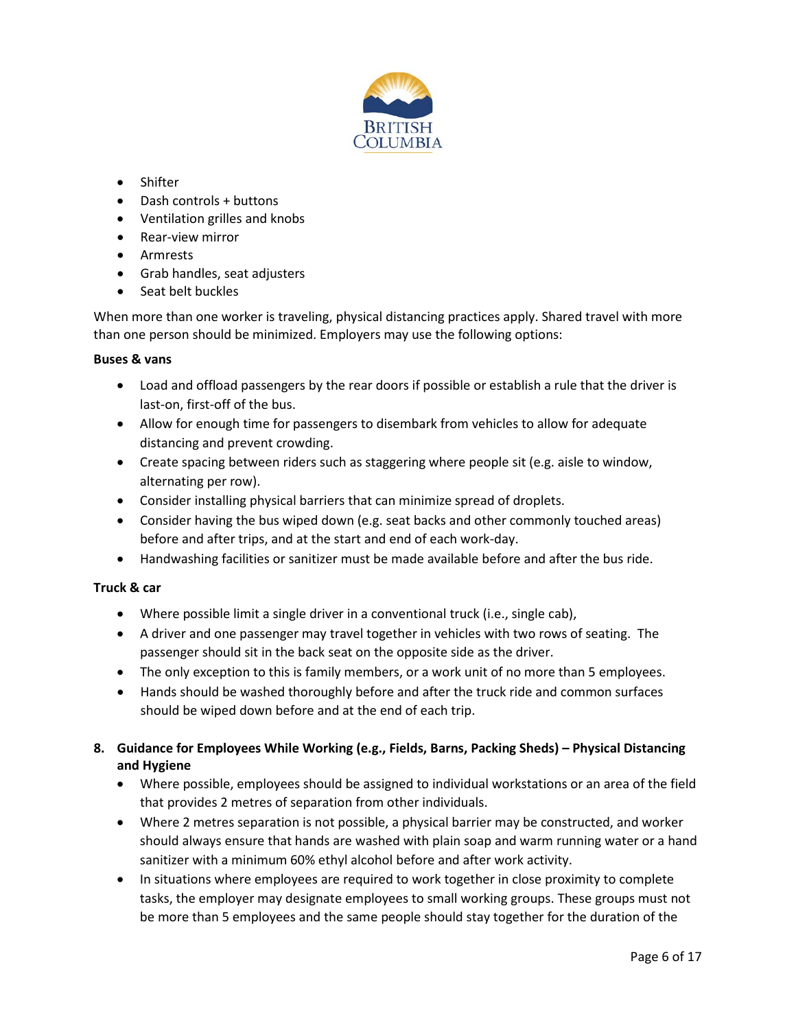

- Shifter
- Dash controls + buttons
- Ventilation grilles and knobs
- Rear-view mirror
- Armrests
- Grab handles, seat adjusters
- Seat belt buckles

When more than one worker is traveling, physical distancing practices apply. Shared travel with more than one person should be minimized. Employers may use the following options:

#### **Buses & vans**

- Load and offload passengers by the rear doors if possible or establish a rule that the driver is last-on, first-off of the bus.
- Allow for enough time for passengers to disembark from vehicles to allow for adequate distancing and prevent crowding.
- Create spacing between riders such as staggering where people sit (e.g. aisle to window, alternating per row).
- Consider installing physical barriers that can minimize spread of droplets.
- Consider having the bus wiped down (e.g. seat backs and other commonly touched areas) before and after trips, and at the start and end of each work-day.
- Handwashing facilities or sanitizer must be made available before and after the bus ride.

#### **Truck & car**

- Where possible limit a single driver in a conventional truck (i.e., single cab),
- A driver and one passenger may travel together in vehicles with two rows of seating. The passenger should sit in the back seat on the opposite side as the driver.
- The only exception to this is family members, or a work unit of no more than 5 employees.
- Hands should be washed thoroughly before and after the truck ride and common surfaces should be wiped down before and at the end of each trip.
- **8. Guidance for Employees While Working (e.g., Fields, Barns, Packing Sheds) – Physical Distancing and Hygiene**
	- Where possible, employees should be assigned to individual workstations or an area of the field that provides 2 metres of separation from other individuals.
	- Where 2 metres separation is not possible, a physical barrier may be constructed, and worker should always ensure that hands are washed with plain soap and warm running water or a hand sanitizer with a minimum 60% ethyl alcohol before and after work activity.
	- In situations where employees are required to work together in close proximity to complete tasks, the employer may designate employees to small working groups. These groups must not be more than 5 employees and the same people should stay together for the duration of the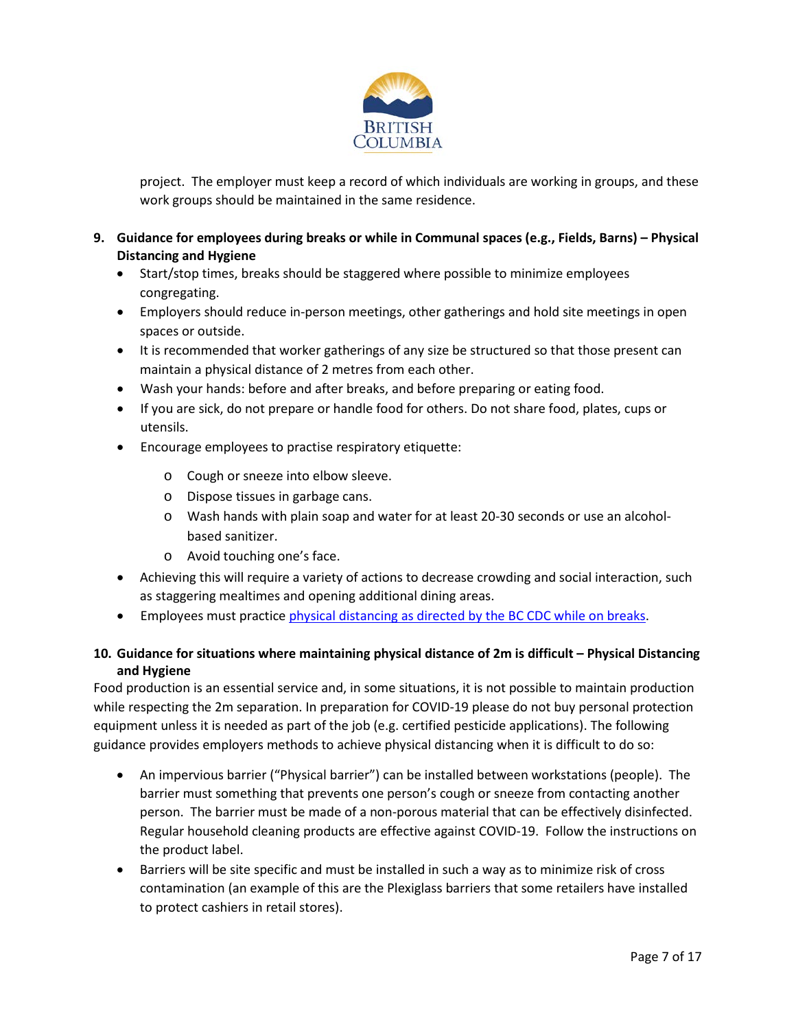

project. The employer must keep a record of which individuals are working in groups, and these work groups should be maintained in the same residence.

- **9. Guidance for employees during breaks or while in Communal spaces (e.g., Fields, Barns) – Physical Distancing and Hygiene**
	- Start/stop times, breaks should be staggered where possible to minimize employees congregating.
	- Employers should reduce in-person meetings, other gatherings and hold site meetings in open spaces or outside.
	- It is recommended that worker gatherings of any size be structured so that those present can maintain a physical distance of 2 metres from each other.
	- Wash your hands: before and after breaks, and before preparing or eating food.
	- If you are sick, do not prepare or handle food for others. Do not share food, plates, cups or utensils.
	- Encourage employees to practise respiratory etiquette:
		- o Cough or sneeze into elbow sleeve.
		- o Dispose tissues in garbage cans.
		- o Wash hands with plain soap and water for at least 20-30 seconds or use an alcoholbased sanitizer.
		- o Avoid touching one's face.
	- Achieving this will require a variety of actions to decrease crowding and social interaction, such as staggering mealtimes and opening additional dining areas.
	- Employees must practice [physical distancing as directed by the BC CDC](http://www.bccdc.ca/Health-Info-Site/Documents/COVID19-Physical-distancing.pdf) while on breaks.

# **10. Guidance for situations where maintaining physical distance of 2m is difficult – Physical Distancing and Hygiene**

Food production is an essential service and, in some situations, it is not possible to maintain production while respecting the 2m separation. In preparation for COVID-19 please do not buy personal protection equipment unless it is needed as part of the job (e.g. certified pesticide applications). The following guidance provides employers methods to achieve physical distancing when it is difficult to do so:

- An impervious barrier ("Physical barrier") can be installed between workstations (people). The barrier must something that prevents one person's cough or sneeze from contacting another person. The barrier must be made of a non-porous material that can be effectively disinfected. Regular household cleaning products are effective against COVID-19. Follow the instructions on the product label.
- Barriers will be site specific and must be installed in such a way as to minimize risk of cross contamination (an example of this are the Plexiglass barriers that some retailers have installed to protect cashiers in retail stores).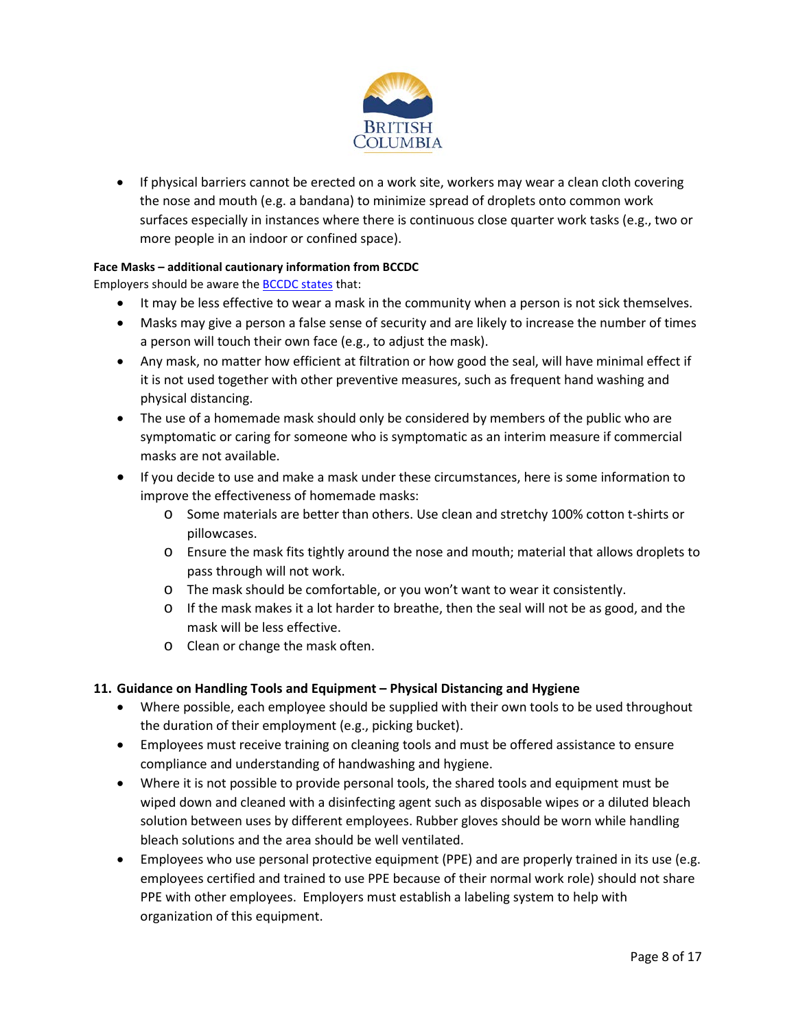

• If physical barriers cannot be erected on a work site, workers may wear a clean cloth covering the nose and mouth (e.g. a bandana) to minimize spread of droplets onto common work surfaces especially in instances where there is continuous close quarter work tasks (e.g., two or more people in an indoor or confined space).

#### **Face Masks – additional cautionary information from BCCDC**

Employers should be aware the [BCCDC states](http://www.bccdc.ca/health-info/diseases-conditions/covid-19/prevention-risks/masks) that:

- It may be less effective to wear a mask in the community when a person is not sick themselves.
- Masks may give a person a false sense of security and are likely to increase the number of times a person will touch their own face (e.g., to adjust the mask).
- Any mask, no matter how efficient at filtration or how good the seal, will have minimal effect if it is not used together with other preventive measures, such as frequent hand washing and physical distancing.
- The use of a homemade mask should only be considered by members of the public who are symptomatic or caring for someone who is symptomatic as an interim measure if commercial masks are not available.
- If you decide to use and make a mask under these circumstances, here is some information to improve the effectiveness of homemade masks:
	- o Some materials are better than others. Use clean and stretchy 100% cotton t-shirts or pillowcases.
	- o Ensure the mask fits tightly around the nose and mouth; material that allows droplets to pass through will not work.
	- o The mask should be comfortable, or you won't want to wear it consistently.
	- o If the mask makes it a lot harder to breathe, then the seal will not be as good, and the mask will be less effective.
	- o Clean or change the mask often.

#### **11. Guidance on Handling Tools and Equipment – Physical Distancing and Hygiene**

- Where possible, each employee should be supplied with their own tools to be used throughout the duration of their employment (e.g., picking bucket).
- Employees must receive training on cleaning tools and must be offered assistance to ensure compliance and understanding of handwashing and hygiene.
- Where it is not possible to provide personal tools, the shared tools and equipment must be wiped down and cleaned with a disinfecting agent such as disposable wipes or a diluted bleach solution between uses by different employees. Rubber gloves should be worn while handling bleach solutions and the area should be well ventilated.
- Employees who use personal protective equipment (PPE) and are properly trained in its use (e.g. employees certified and trained to use PPE because of their normal work role) should not share PPE with other employees. Employers must establish a labeling system to help with organization of this equipment.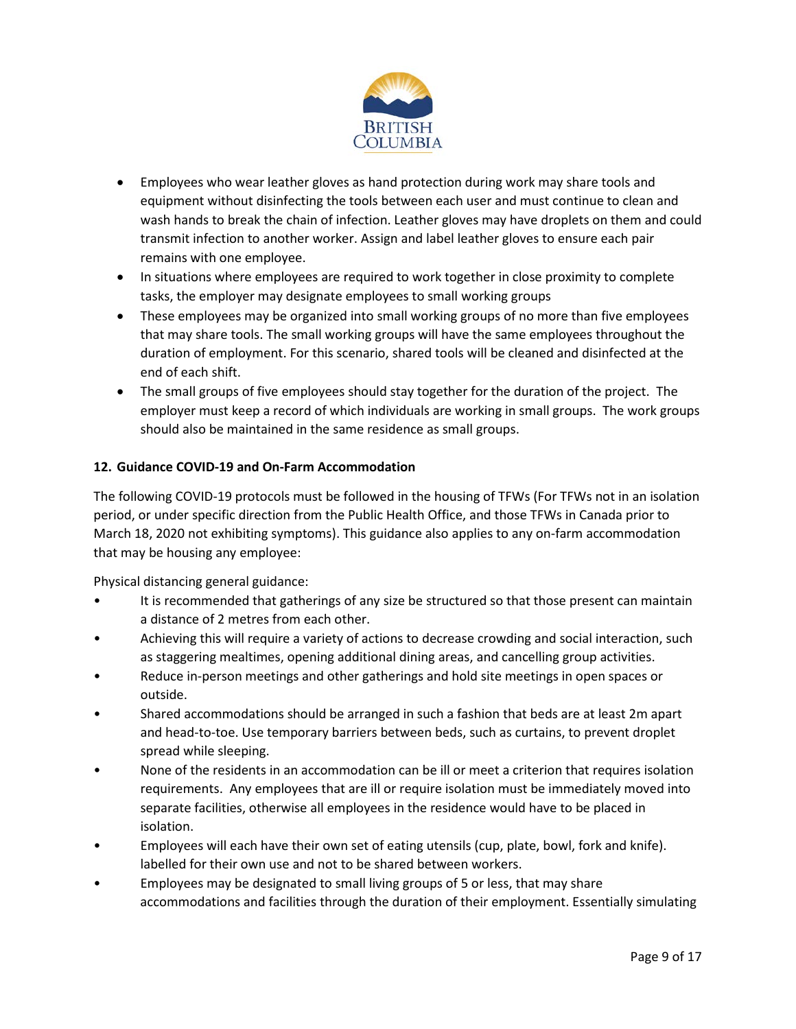

- Employees who wear leather gloves as hand protection during work may share tools and equipment without disinfecting the tools between each user and must continue to clean and wash hands to break the chain of infection. Leather gloves may have droplets on them and could transmit infection to another worker. Assign and label leather gloves to ensure each pair remains with one employee.
- In situations where employees are required to work together in close proximity to complete tasks, the employer may designate employees to small working groups
- These employees may be organized into small working groups of no more than five employees that may share tools. The small working groups will have the same employees throughout the duration of employment. For this scenario, shared tools will be cleaned and disinfected at the end of each shift.
- The small groups of five employees should stay together for the duration of the project. The employer must keep a record of which individuals are working in small groups. The work groups should also be maintained in the same residence as small groups.

# **12. Guidance COVID-19 and On-Farm Accommodation**

The following COVID-19 protocols must be followed in the housing of TFWs (For TFWs not in an isolation period, or under specific direction from the Public Health Office, and those TFWs in Canada prior to March 18, 2020 not exhibiting symptoms). This guidance also applies to any on-farm accommodation that may be housing any employee:

Physical distancing general guidance:

- It is recommended that gatherings of any size be structured so that those present can maintain a distance of 2 metres from each other.
- Achieving this will require a variety of actions to decrease crowding and social interaction, such as staggering mealtimes, opening additional dining areas, and cancelling group activities.
- Reduce in-person meetings and other gatherings and hold site meetings in open spaces or outside.
- Shared accommodations should be arranged in such a fashion that beds are at least 2m apart and head-to-toe. Use temporary barriers between beds, such as curtains, to prevent droplet spread while sleeping.
- None of the residents in an accommodation can be ill or meet a criterion that requires isolation requirements. Any employees that are ill or require isolation must be immediately moved into separate facilities, otherwise all employees in the residence would have to be placed in isolation.
- Employees will each have their own set of eating utensils (cup, plate, bowl, fork and knife). labelled for their own use and not to be shared between workers.
- Employees may be designated to small living groups of 5 or less, that may share accommodations and facilities through the duration of their employment. Essentially simulating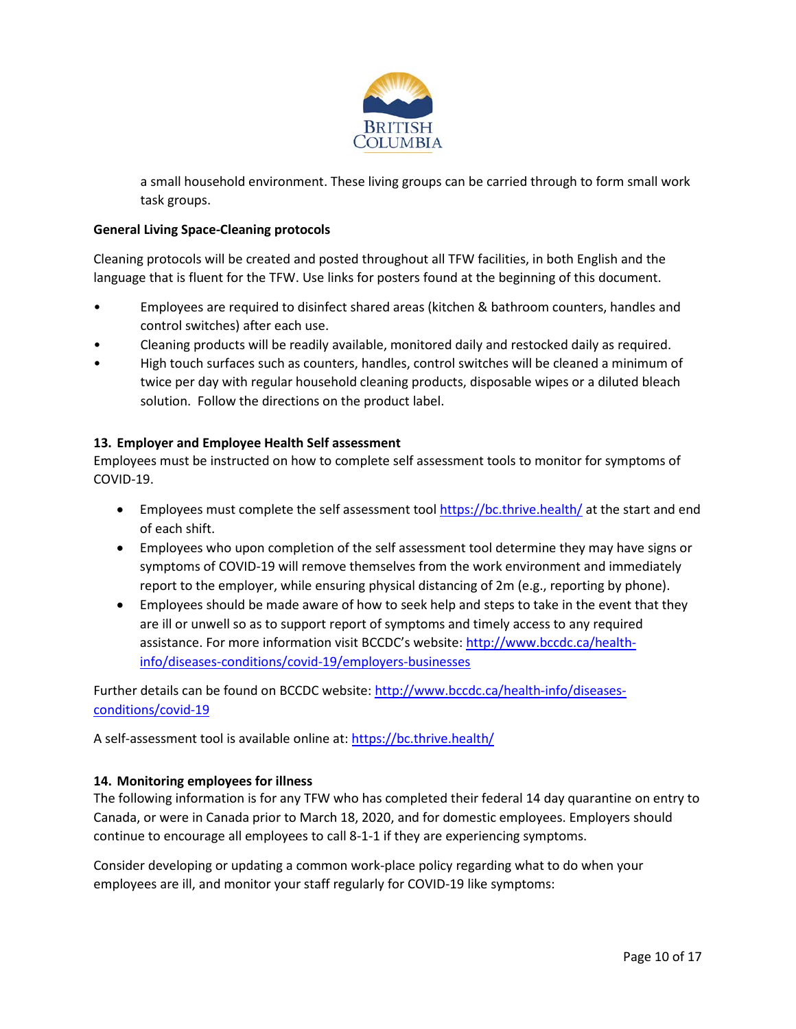

a small household environment. These living groups can be carried through to form small work task groups.

## **General Living Space-Cleaning protocols**

Cleaning protocols will be created and posted throughout all TFW facilities, in both English and the language that is fluent for the TFW. Use links for posters found at the beginning of this document.

- Employees are required to disinfect shared areas (kitchen & bathroom counters, handles and control switches) after each use.
- Cleaning products will be readily available, monitored daily and restocked daily as required.
- High touch surfaces such as counters, handles, control switches will be cleaned a minimum of twice per day with regular household cleaning products, disposable wipes or a diluted bleach solution. Follow the directions on the product label.

#### **13. Employer and Employee Health Self assessment**

Employees must be instructed on how to complete self assessment tools to monitor for symptoms of COVID-19.

- Employees must complete the self assessment tool<https://bc.thrive.health/> at the start and end of each shift.
- Employees who upon completion of the self assessment tool determine they may have signs or symptoms of COVID-19 will remove themselves from the work environment and immediately report to the employer, while ensuring physical distancing of 2m (e.g., reporting by phone).
- Employees should be made aware of how to seek help and steps to take in the event that they are ill or unwell so as to support report of symptoms and timely access to any required assistance. For more information visit BCCDC's website[: http://www.bccdc.ca/health](http://www.bccdc.ca/health-info/diseases-conditions/covid-19/employers-businesses)[info/diseases-conditions/covid-19/employers-businesses](http://www.bccdc.ca/health-info/diseases-conditions/covid-19/employers-businesses)

Further details can be found on BCCDC website: [http://www.bccdc.ca/health-info/diseases](http://www.bccdc.ca/health-info/diseases-conditions/covid-19)[conditions/covid-19](http://www.bccdc.ca/health-info/diseases-conditions/covid-19)

A self-assessment tool is available online at[: https://bc.thrive.health/](https://bc.thrive.health/)

#### **14. Monitoring employees for illness**

The following information is for any TFW who has completed their federal 14 day quarantine on entry to Canada, or were in Canada prior to March 18, 2020, and for domestic employees. Employers should continue to encourage all employees to call 8-1-1 if they are experiencing symptoms.

Consider developing or updating a common work-place policy regarding what to do when your employees are ill, and monitor your staff regularly for COVID-19 like symptoms: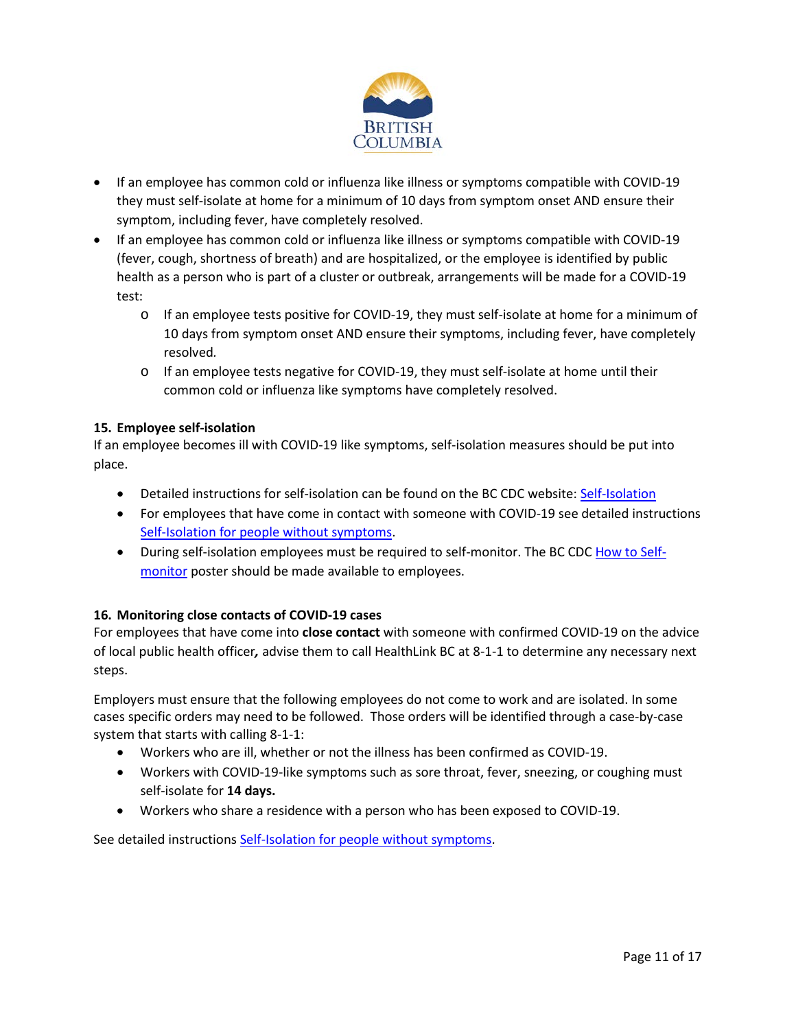

- If an employee has common cold or influenza like illness or symptoms compatible with COVID-19 they must self-isolate at home for a minimum of 10 days from symptom onset AND ensure their symptom, including fever, have completely resolved.
- If an employee has common cold or influenza like illness or symptoms compatible with COVID-19 (fever, cough, shortness of breath) and are hospitalized, or the employee is identified by public health as a person who is part of a cluster or outbreak, arrangements will be made for a COVID-19 test:
	- o If an employee tests positive for COVID-19, they must self-isolate at home for a minimum of 10 days from symptom onset AND ensure their symptoms, including fever, have completely resolved*.*
	- o If an employee tests negative for COVID-19, they must self-isolate at home until their common cold or influenza like symptoms have completely resolved.

# **15. Employee self-isolation**

If an employee becomes ill with COVID-19 like symptoms, self-isolation measures should be put into place.

- Detailed instructions for self-isolation can be found on the BC CDC website[: Self-Isolation](http://www.bccdc.ca/health-info/diseases-conditions/covid-19/self-isolation)
- For employees that have come in contact with someone with COVID-19 see detailed instructions [Self-Isolation for people without symptoms.](http://www.bccdc.ca/Health-Info-Site/Documents/Self-isolation_dos_donts.pdf)
- During self-isolation employees must be required to self-monitor. The BC CDC [How to Self](http://www.bccdc.ca/Health-Info-Site/Documents/Self-monitoring.pdf)[monitor](http://www.bccdc.ca/Health-Info-Site/Documents/Self-monitoring.pdf) poster should be made available to employees.

# **16. Monitoring close contacts of COVID-19 cases**

For employees that have come into **close contact** with someone with confirmed COVID-19 on the advice of local public health officer*,* advise them to call HealthLink BC at 8-1-1 to determine any necessary next steps.

Employers must ensure that the following employees do not come to work and are isolated. In some cases specific orders may need to be followed. Those orders will be identified through a case-by-case system that starts with calling 8-1-1:

- Workers who are ill, whether or not the illness has been confirmed as COVID-19.
- Workers with COVID-19-like symptoms such as sore throat, fever, sneezing, or coughing must self-isolate for **14 days.**
- Workers who share a residence with a person who has been exposed to COVID-19.

See detailed instructions [Self-Isolation for people without symptoms.](http://www.bccdc.ca/Health-Info-Site/Documents/Self-isolation_dos_donts.pdf)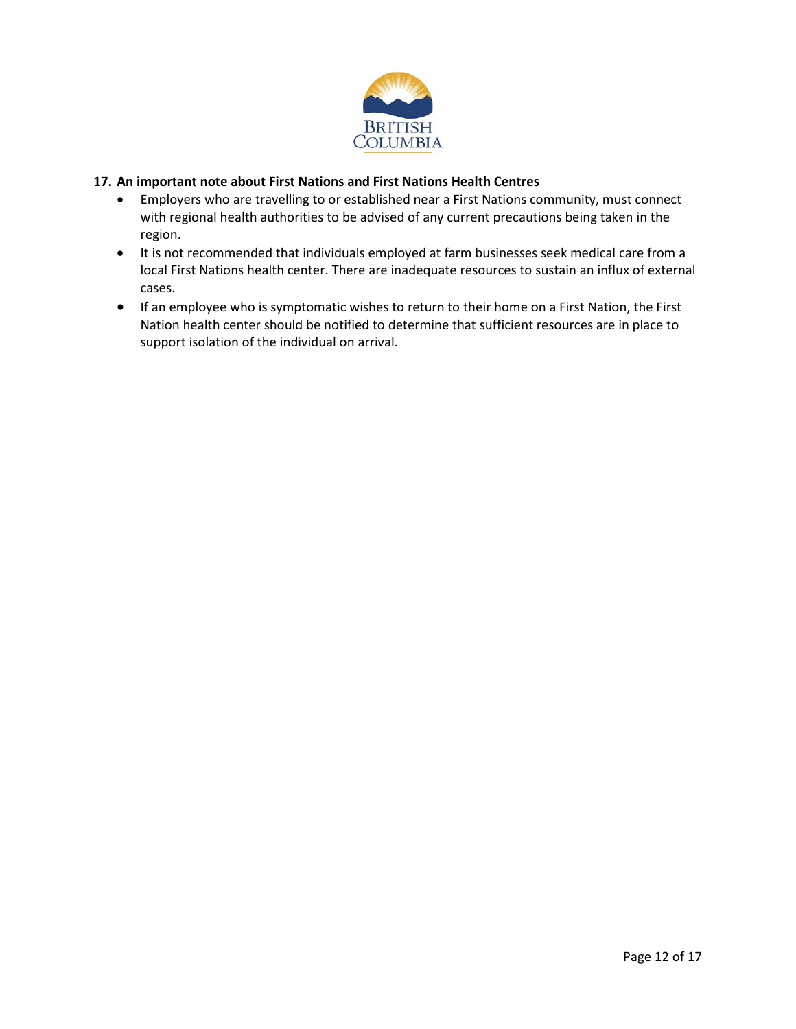

#### **17. An important note about First Nations and First Nations Health Centres**

- Employers who are travelling to or established near a First Nations community, must connect with regional health authorities to be advised of any current precautions being taken in the region.
- It is not recommended that individuals employed at farm businesses seek medical care from a local First Nations health center. There are inadequate resources to sustain an influx of external cases.
- If an employee who is symptomatic wishes to return to their home on a First Nation, the First Nation health center should be notified to determine that sufficient resources are in place to support isolation of the individual on arrival.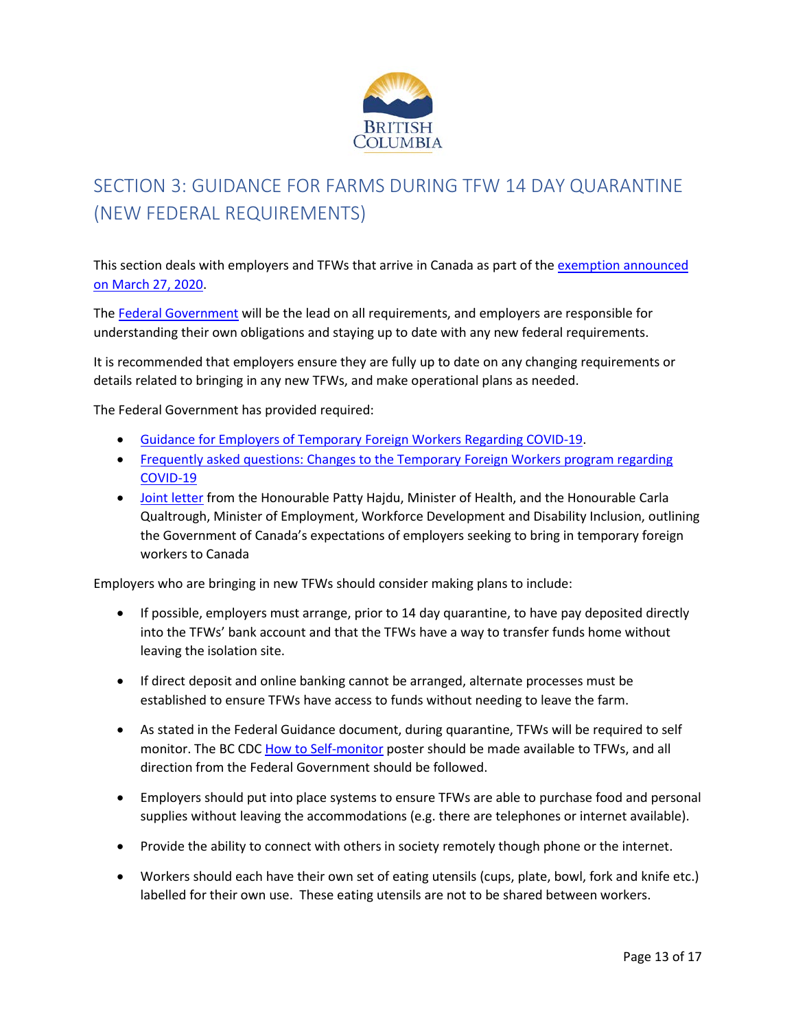

# SECTION 3: GUIDANCE FOR FARMS DURING TFW 14 DAY QUARANTINE (NEW FEDERAL REQUIREMENTS)

This section deals with employers and TFWs that arrive in Canada as part of the [exemption announced](https://www.canada.ca/en/immigration-refugees-citizenship/services/coronavirus-special-measures.html) [on March 27, 2020.](https://www.canada.ca/en/immigration-refugees-citizenship/services/coronavirus-special-measures.html)

The [Federal Government](https://www.canada.ca/en/immigration-refugees-citizenship/services/coronavirus-special-measures.html) will be the lead on all requirements, and employers are responsible for understanding their own obligations and staying up to date with any new federal requirements.

It is recommended that employers ensure they are fully up to date on any changing requirements or details related to bringing in any new TFWs, and make operational plans as needed.

The Federal Government has provided required:

- [Guidance for Employers of Temporary Foreign Workers Regarding COVID-19.](https://mcusercontent.com/f79d2a33b823f8c549069c39b/files/a7039f88-7b4b-4198-b433-3afc22121aa9/Guidance_for_Employers_of_TFWs_on_COVID_19_March_27_2020_FINAL_EN.pdf)
- Frequently asked questions: Changes to the Temporary Foreign Workers program regarding [COVID-19](https://www.canada.ca/en/employment-social-development/services/foreign-workers/employer-compliance/covid-faq.html)
- [Joint letter](https://www.canada.ca/en/employment-social-development/corporate/notices/minister-letter-foreign-workers.html) from the Honourable Patty Hajdu, Minister of Health, and the Honourable Carla Qualtrough, Minister of Employment, Workforce Development and Disability Inclusion, outlining the Government of Canada's expectations of employers seeking to bring in temporary foreign workers to Canada

Employers who are bringing in new TFWs should consider making plans to include:

- If possible, employers must arrange, prior to 14 day quarantine, to have pay deposited directly into the TFWs' bank account and that the TFWs have a way to transfer funds home without leaving the isolation site.
- If direct deposit and online banking cannot be arranged, alternate processes must be established to ensure TFWs have access to funds without needing to leave the farm.
- As stated in the Federal Guidance document, during quarantine, TFWs will be required to self monitor. The BC CDC [How to Self-monitor](http://www.bccdc.ca/Health-Info-Site/Documents/Self-monitoring.pdf) poster should be made available to TFWs, and all direction from the Federal Government should be followed.
- Employers should put into place systems to ensure TFWs are able to purchase food and personal supplies without leaving the accommodations (e.g. there are telephones or internet available).
- Provide the ability to connect with others in society remotely though phone or the internet.
- Workers should each have their own set of eating utensils (cups, plate, bowl, fork and knife etc.) labelled for their own use. These eating utensils are not to be shared between workers.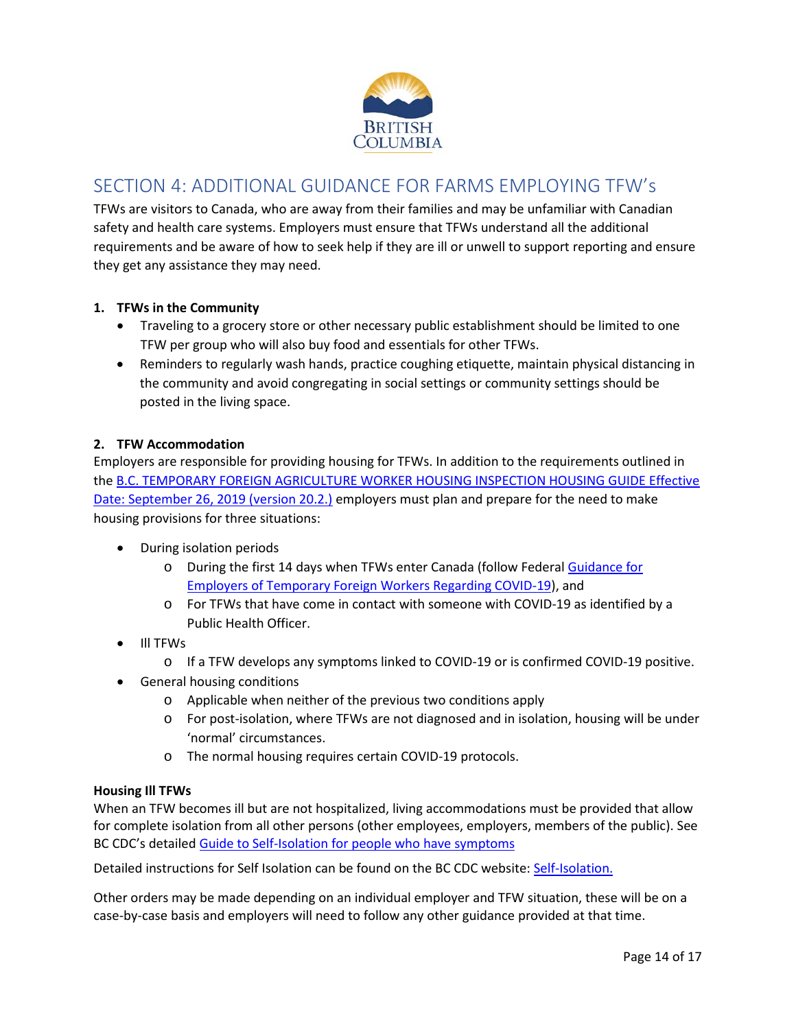

# SECTION 4: ADDITIONAL GUIDANCE FOR FARMS EMPLOYING TFW's

TFWs are visitors to Canada, who are away from their families and may be unfamiliar with Canadian safety and health care systems. Employers must ensure that TFWs understand all the additional requirements and be aware of how to seek help if they are ill or unwell to support reporting and ensure they get any assistance they may need.

# **1. TFWs in the Community**

- Traveling to a grocery store or other necessary public establishment should be limited to one TFW per group who will also buy food and essentials for other TFWs.
- Reminders to regularly wash hands, practice coughing etiquette, maintain physical distancing in the community and avoid congregating in social settings or community settings should be posted in the living space.

# **2. TFW Accommodation**

Employers are responsible for providing housing for TFWs. In addition to the requirements outlined in th[e B.C. TEMPORARY FOREIGN AGRICULTURE WORKER HOUSING INSPECTION HOUSING GUIDE Effective](https://walicanada.ca/wp-content/uploads/2019/09/TFW-Housing-inspection-guide-V20-2-26Sept2019-1.pdf)  [Date: September 26, 2019 \(version 20.2.\)](https://walicanada.ca/wp-content/uploads/2019/09/TFW-Housing-inspection-guide-V20-2-26Sept2019-1.pdf) employers must plan and prepare for the need to make housing provisions for three situations:

- During isolation periods
	- o During the first 14 days when TFWs enter Canada (follow Federal Guidance for [Employers of Temporary Foreign Workers Regarding COVID-19\)](https://mcusercontent.com/f79d2a33b823f8c549069c39b/files/a7039f88-7b4b-4198-b433-3afc22121aa9/Guidance_for_Employers_of_TFWs_on_COVID_19_March_27_2020_FINAL_EN.pdf), and
	- o For TFWs that have come in contact with someone with COVID-19 as identified by a Public Health Officer.
- Ill TFWs
	- o If a TFW develops any symptoms linked to COVID-19 or is confirmed COVID-19 positive.
- General housing conditions
	- o Applicable when neither of the previous two conditions apply
	- o For post-isolation, where TFWs are not diagnosed and in isolation, housing will be under 'normal' circumstances.
	- o The normal housing requires certain COVID-19 protocols.

#### **Housing Ill TFWs**

When an TFW becomes ill but are not hospitalized, living accommodations must be provided that allow for complete isolation from all other persons (other employees, employers, members of the public). See BC CDC's detailed [Guide to Self-Isolation for people who have symptoms](http://www.bccdc.ca/Health-Info-Site/Documents/Self-isolation.pdf)

Detailed instructions for Self Isolation can be found on the BC CDC website[: Self-Isolation.](http://www.bccdc.ca/health-info/diseases-conditions/covid-19/self-isolation)

Other orders may be made depending on an individual employer and TFW situation, these will be on a case-by-case basis and employers will need to follow any other guidance provided at that time.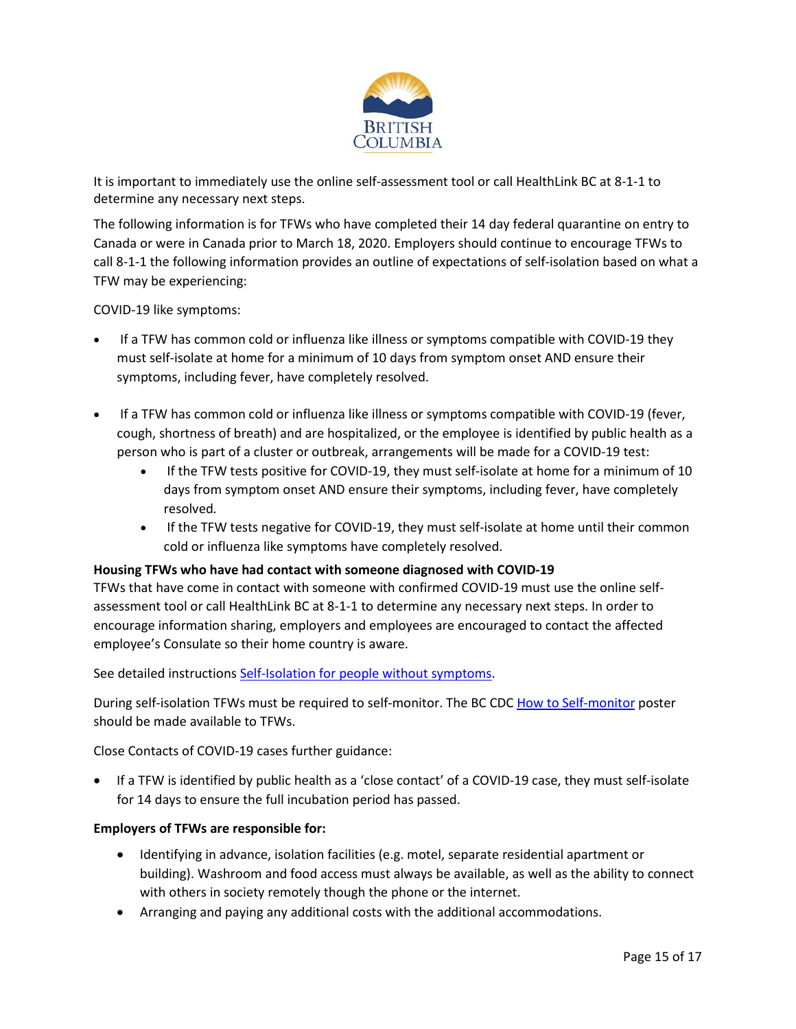

It is important to immediately use the online self-assessment tool or call HealthLink BC at 8-1-1 to determine any necessary next steps.

The following information is for TFWs who have completed their 14 day federal quarantine on entry to Canada or were in Canada prior to March 18, 2020. Employers should continue to encourage TFWs to call 8-1-1 the following information provides an outline of expectations of self-isolation based on what a TFW may be experiencing:

COVID-19 like symptoms:

- If a TFW has common cold or influenza like illness or symptoms compatible with COVID-19 they must self-isolate at home for a minimum of 10 days from symptom onset AND ensure their symptoms, including fever, have completely resolved.
- If a TFW has common cold or influenza like illness or symptoms compatible with COVID-19 (fever, cough, shortness of breath) and are hospitalized, or the employee is identified by public health as a person who is part of a cluster or outbreak, arrangements will be made for a COVID-19 test:
	- If the TFW tests positive for COVID-19, they must self-isolate at home for a minimum of 10 days from symptom onset AND ensure their symptoms, including fever, have completely resolved*.*
	- If the TFW tests negative for COVID-19, they must self-isolate at home until their common cold or influenza like symptoms have completely resolved.

#### **Housing TFWs who have had contact with someone diagnosed with COVID-19**

TFWs that have come in contact with someone with confirmed COVID-19 must use the online selfassessment tool or call HealthLink BC at 8-1-1 to determine any necessary next steps. In order to encourage information sharing, employers and employees are encouraged to contact the affected employee's Consulate so their home country is aware.

See detailed instructions [Self-Isolation for people without symptoms.](http://www.bccdc.ca/Health-Info-Site/Documents/Self-isolation_dos_donts.pdf)

During self-isolation TFWs must be required to self-monitor. The BC CD[C How to Self-monitor](http://www.bccdc.ca/Health-Info-Site/Documents/Self-monitoring.pdf) poster should be made available to TFWs.

Close Contacts of COVID-19 cases further guidance:

• If a TFW is identified by public health as a 'close contact' of a COVID-19 case, they must self-isolate for 14 days to ensure the full incubation period has passed.

# **Employers of TFWs are responsible for:**

- Identifying in advance, isolation facilities (e.g. motel, separate residential apartment or building). Washroom and food access must always be available, as well as the ability to connect with others in society remotely though the phone or the internet.
- Arranging and paying any additional costs with the additional accommodations.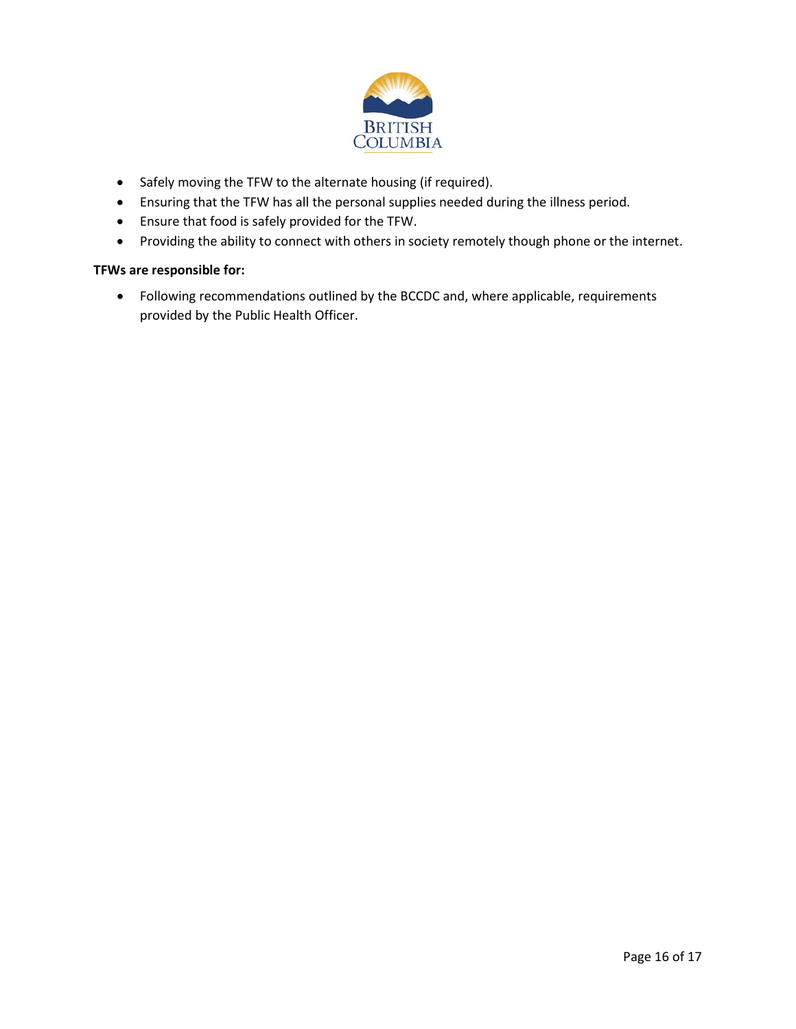

- Safely moving the TFW to the alternate housing (if required).
- Ensuring that the TFW has all the personal supplies needed during the illness period.
- Ensure that food is safely provided for the TFW.
- Providing the ability to connect with others in society remotely though phone or the internet.

#### **TFWs are responsible for:**

• Following recommendations outlined by the BCCDC and, where applicable, requirements provided by the Public Health Officer.